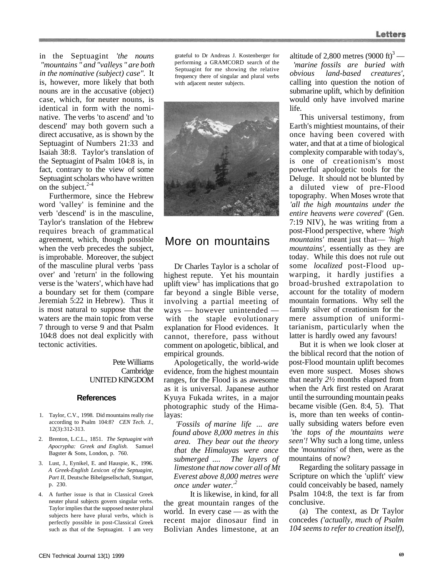in the Septuagint *'the nouns "mountains " and "valleys " are both in the nominative (subject) case".* It is, however, more likely that both nouns are in the accusative (object) case, which, for neuter nouns, is identical in form with the nominative. The verbs 'to ascend' and 'to descend' may both govern such a direct accusative, as is shown by the Septuagint of Numbers 21:33 and Isaiah 38:8. Taylor's translation of the Septuagint of Psalm 104:8 is, in fact, contrary to the view of some Septuagint scholars who have written on the subject. $2-4$ 

Furthermore, since the Hebrew word 'valley' is feminine and the verb 'descend' is in the masculine, Taylor's translation of the Hebrew requires breach of grammatical agreement, which, though possible when the verb precedes the subject, is improbable. Moreover, the subject of the masculine plural verbs 'pass over' and 'return' in the following verse is the 'waters', which have had a boundary set for them (compare Jeremiah 5:22 in Hebrew). Thus it is most natural to suppose that the waters are the main topic from verse 7 through to verse 9 and that Psalm 104:8 does not deal explicitly with tectonic activities.

## Pete Williams **Cambridge** UNITED KINGDOM

### **References**

- 1. Taylor, C.V., 1998. Did mountains really rise according to Psalm 104:8? *CEN Tech. J.,*  12(3):312-313.
- 2. Brenton, L.C.L., 1851. *The Septuagint with Apocrypha: Greek and English.* Samuel Bagster & Sons, London, p. 760.
- 3. Lust, J., Eynikel, E. and Hauspie, K., 1996. *A Greek-English Lexicon of the Septuagint, Part II,* Deutsche Bibelgesellschaft, Stuttgart, p. 230.
- 4. A further issue is that in Classical Greek neuter plural subjects govern singular verbs. Taylor implies that the supposed neuter plural subjects here have plural verbs, which is perfectly possible in post-Classical Greek such as that of the Septuagint. I am very

grateful to Dr Andreas J. Kostenberger for performing a GRAMCORD search of the Septuagint for me showing the relative frequency there of singular and plural verbs with adjacent neuter subjects.



# More on mountains

Dr Charles Taylor is a scholar of highest repute. Yet his mountain uplift view<sup>1</sup> has implications that go far beyond a single Bible verse, involving a partial meeting of ways — however unintended with the staple evolutionary explanation for Flood evidences. It cannot, therefore, pass without comment on apologetic, biblical, and empirical grounds.

Apologetically, the world-wide evidence, from the highest mountain ranges, for the Flood is as awesome as it is universal. Japanese author Kyuya Fukada writes, in a major photographic study of the Himalayas:

*'Fossils of marine life* ... *are found above 8,000 metres in this area. They bear out the theory that the Himalayas were once submerged .... The layers of limestone that now cover all of Mt Everest above 8,000 metres were once under water.*<sup>*'*</sup>

It is likewise, in kind, for all the great mountain ranges of the world. In every case — as with the recent major dinosaur find in Bolivian Andes limestone, at an altitude of 2,800 metres  $(9000 \text{ ft})^3$  —

*'marine fossils are buried with obvious land-based creatures',*  calling into question the notion of submarine uplift, which by definition would only have involved marine life.

This universal testimony, from Earth's mightiest mountains, of their once having been covered with water, and that at a time of biological complexity comparable with today's, is one of creationism's most powerful apologetic tools for the Deluge. It should not be blunted by a diluted view of pre-Flood topography. When Moses wrote that *'all the high mountains under the entire heavens were covered'* (Gen. 7:19 NIV), he was writing from a post-Flood perspective, where *'high mountains'* meant just that— *'high mountains',* essentially as they are today. While this does not rule out some *localized* post-Flood upwarping, it hardly justifies a broad-brushed extrapolation to account for the totality of modern mountain formations. Why sell the family silver of creationism for the mere assumption of uniformitarianism, particularly when the latter is hardly owed any favours!

But it is when we look closer at the biblical record that the notion of post-Flood mountain uplift becomes even more suspect. Moses shows that nearly *2½* months elapsed from when the Ark first rested on Ararat until the surrounding mountain peaks became visible (Gen. 8:4, 5). That is, more than ten weeks of continually subsiding waters before even *'the tops of the mountains were seen'!* Why such a long time, unless the *'mountains'* of then, were as the mountains of now?

Regarding the solitary passage in Scripture on which the 'uplift' view could conceivably be based, namely Psalm 104:8, the text is far from conclusive.

(a) The context, as Dr Taylor concedes *('actually, much of Psalm 104 seems to refer to creation itself),*